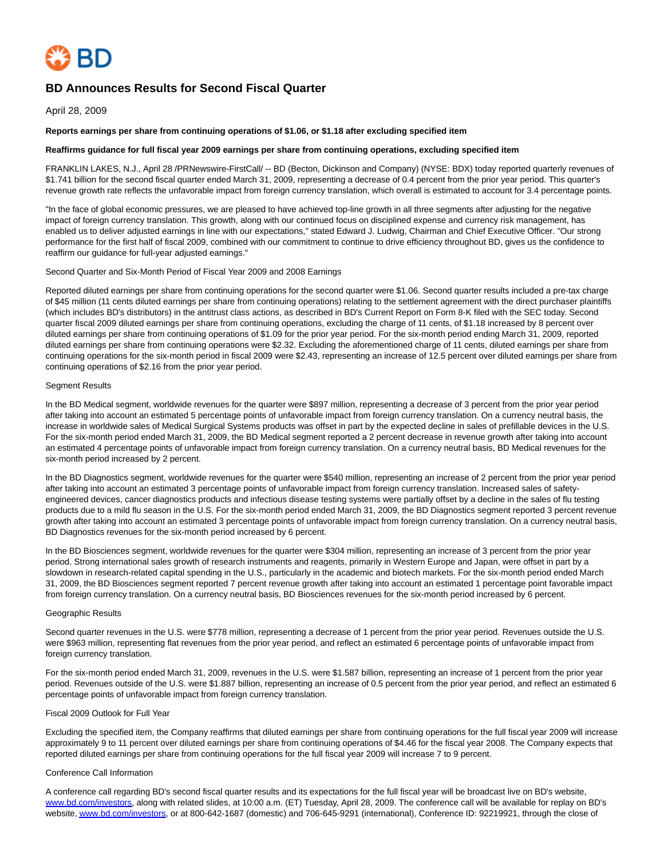

# **BD Announces Results for Second Fiscal Quarter**

April 28, 2009

### **Reports earnings per share from continuing operations of \$1.06, or \$1.18 after excluding specified item**

### **Reaffirms guidance for full fiscal year 2009 earnings per share from continuing operations, excluding specified item**

FRANKLIN LAKES, N.J., April 28 /PRNewswire-FirstCall/ -- BD (Becton, Dickinson and Company) (NYSE: BDX) today reported quarterly revenues of \$1.741 billion for the second fiscal quarter ended March 31, 2009, representing a decrease of 0.4 percent from the prior year period. This quarter's revenue growth rate reflects the unfavorable impact from foreign currency translation, which overall is estimated to account for 3.4 percentage points.

"In the face of global economic pressures, we are pleased to have achieved top-line growth in all three segments after adjusting for the negative impact of foreign currency translation. This growth, along with our continued focus on disciplined expense and currency risk management, has enabled us to deliver adjusted earnings in line with our expectations," stated Edward J. Ludwig, Chairman and Chief Executive Officer. "Our strong performance for the first half of fiscal 2009, combined with our commitment to continue to drive efficiency throughout BD, gives us the confidence to reaffirm our guidance for full-year adjusted earnings."

### Second Quarter and Six-Month Period of Fiscal Year 2009 and 2008 Earnings

Reported diluted earnings per share from continuing operations for the second quarter were \$1.06. Second quarter results included a pre-tax charge of \$45 million (11 cents diluted earnings per share from continuing operations) relating to the settlement agreement with the direct purchaser plaintiffs (which includes BD's distributors) in the antitrust class actions, as described in BD's Current Report on Form 8-K filed with the SEC today. Second quarter fiscal 2009 diluted earnings per share from continuing operations, excluding the charge of 11 cents, of \$1.18 increased by 8 percent over diluted earnings per share from continuing operations of \$1.09 for the prior year period. For the six-month period ending March 31, 2009, reported diluted earnings per share from continuing operations were \$2.32. Excluding the aforementioned charge of 11 cents, diluted earnings per share from continuing operations for the six-month period in fiscal 2009 were \$2.43, representing an increase of 12.5 percent over diluted earnings per share from continuing operations of \$2.16 from the prior year period.

### Segment Results

In the BD Medical segment, worldwide revenues for the quarter were \$897 million, representing a decrease of 3 percent from the prior year period after taking into account an estimated 5 percentage points of unfavorable impact from foreign currency translation. On a currency neutral basis, the increase in worldwide sales of Medical Surgical Systems products was offset in part by the expected decline in sales of prefillable devices in the U.S. For the six-month period ended March 31, 2009, the BD Medical segment reported a 2 percent decrease in revenue growth after taking into account an estimated 4 percentage points of unfavorable impact from foreign currency translation. On a currency neutral basis, BD Medical revenues for the six-month period increased by 2 percent.

In the BD Diagnostics segment, worldwide revenues for the quarter were \$540 million, representing an increase of 2 percent from the prior year period after taking into account an estimated 3 percentage points of unfavorable impact from foreign currency translation. Increased sales of safetyengineered devices, cancer diagnostics products and infectious disease testing systems were partially offset by a decline in the sales of flu testing products due to a mild flu season in the U.S. For the six-month period ended March 31, 2009, the BD Diagnostics segment reported 3 percent revenue growth after taking into account an estimated 3 percentage points of unfavorable impact from foreign currency translation. On a currency neutral basis, BD Diagnostics revenues for the six-month period increased by 6 percent.

In the BD Biosciences segment, worldwide revenues for the quarter were \$304 million, representing an increase of 3 percent from the prior year period. Strong international sales growth of research instruments and reagents, primarily in Western Europe and Japan, were offset in part by a slowdown in research-related capital spending in the U.S., particularly in the academic and biotech markets. For the six-month period ended March 31, 2009, the BD Biosciences segment reported 7 percent revenue growth after taking into account an estimated 1 percentage point favorable impact from foreign currency translation. On a currency neutral basis, BD Biosciences revenues for the six-month period increased by 6 percent.

### Geographic Results

Second quarter revenues in the U.S. were \$778 million, representing a decrease of 1 percent from the prior year period. Revenues outside the U.S. were \$963 million, representing flat revenues from the prior year period, and reflect an estimated 6 percentage points of unfavorable impact from foreign currency translation.

For the six-month period ended March 31, 2009, revenues in the U.S. were \$1.587 billion, representing an increase of 1 percent from the prior year period. Revenues outside of the U.S. were \$1.887 billion, representing an increase of 0.5 percent from the prior year period, and reflect an estimated 6 percentage points of unfavorable impact from foreign currency translation.

### Fiscal 2009 Outlook for Full Year

Excluding the specified item, the Company reaffirms that diluted earnings per share from continuing operations for the full fiscal year 2009 will increase approximately 9 to 11 percent over diluted earnings per share from continuing operations of \$4.46 for the fiscal year 2008. The Company expects that reported diluted earnings per share from continuing operations for the full fiscal year 2009 will increase 7 to 9 percent.

### Conference Call Information

A conference call regarding BD's second fiscal quarter results and its expectations for the full fiscal year will be broadcast live on BD's website, [www.bd.com/investors,](http://www.bd.com/investors) along with related slides, at 10:00 a.m. (ET) Tuesday, April 28, 2009. The conference call will be available for replay on BD's website[, www.bd.com/investors,](http://www.bd.com/investors) or at 800-642-1687 (domestic) and 706-645-9291 (international), Conference ID: 92219921, through the close of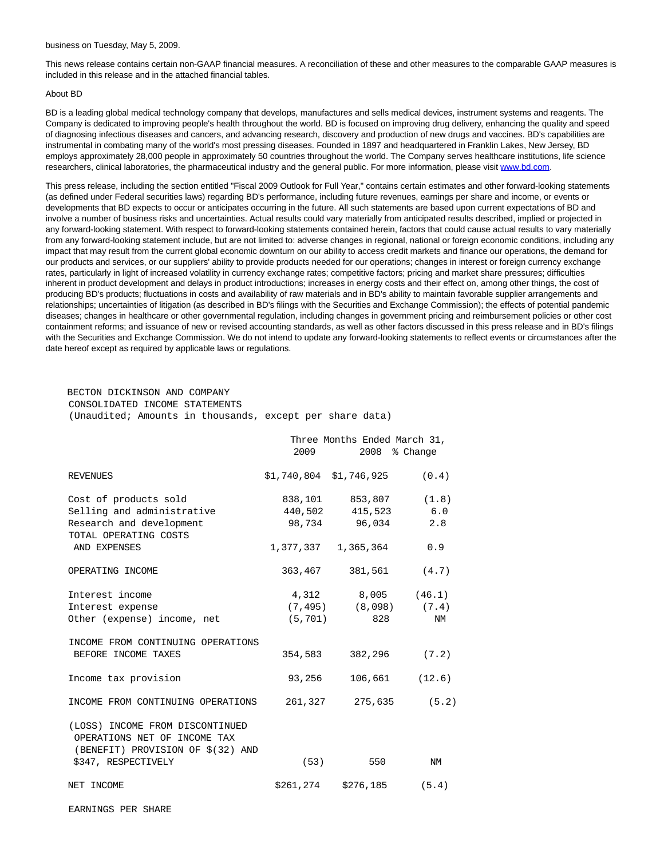#### business on Tuesday, May 5, 2009.

This news release contains certain non-GAAP financial measures. A reconciliation of these and other measures to the comparable GAAP measures is included in this release and in the attached financial tables.

#### About BD

BD is a leading global medical technology company that develops, manufactures and sells medical devices, instrument systems and reagents. The Company is dedicated to improving people's health throughout the world. BD is focused on improving drug delivery, enhancing the quality and speed of diagnosing infectious diseases and cancers, and advancing research, discovery and production of new drugs and vaccines. BD's capabilities are instrumental in combating many of the world's most pressing diseases. Founded in 1897 and headquartered in Franklin Lakes, New Jersey, BD employs approximately 28,000 people in approximately 50 countries throughout the world. The Company serves healthcare institutions, life science researchers, clinical laboratories, the pharmaceutical industry and the general public. For more information, please visit [www.bd.com.](http://www.bd.com/)

This press release, including the section entitled "Fiscal 2009 Outlook for Full Year," contains certain estimates and other forward-looking statements (as defined under Federal securities laws) regarding BD's performance, including future revenues, earnings per share and income, or events or developments that BD expects to occur or anticipates occurring in the future. All such statements are based upon current expectations of BD and involve a number of business risks and uncertainties. Actual results could vary materially from anticipated results described, implied or projected in any forward-looking statement. With respect to forward-looking statements contained herein, factors that could cause actual results to vary materially from any forward-looking statement include, but are not limited to: adverse changes in regional, national or foreign economic conditions, including any impact that may result from the current global economic downturn on our ability to access credit markets and finance our operations, the demand for our products and services, or our suppliers' ability to provide products needed for our operations; changes in interest or foreign currency exchange rates, particularly in light of increased volatility in currency exchange rates; competitive factors; pricing and market share pressures; difficulties inherent in product development and delays in product introductions; increases in energy costs and their effect on, among other things, the cost of producing BD's products; fluctuations in costs and availability of raw materials and in BD's ability to maintain favorable supplier arrangements and relationships; uncertainties of litigation (as described in BD's filings with the Securities and Exchange Commission); the effects of potential pandemic diseases; changes in healthcare or other governmental regulation, including changes in government pricing and reimbursement policies or other cost containment reforms; and issuance of new or revised accounting standards, as well as other factors discussed in this press release and in BD's filings with the Securities and Exchange Commission. We do not intend to update any forward-looking statements to reflect events or circumstances after the date hereof except as required by applicable laws or regulations.

# BECTON DICKINSON AND COMPANY

CONSOLIDATED INCOME STATEMENTS

(Unaudited; Amounts in thousands, except per share data)

|                                                                                                      | Three Months Ended March 31,<br>2009<br>2008 % Change |                                 |       |  |
|------------------------------------------------------------------------------------------------------|-------------------------------------------------------|---------------------------------|-------|--|
| <b>REVENUES</b>                                                                                      |                                                       | $$1,740,804$ $$1,746,925$ (0.4) |       |  |
| Cost of products sold                                                                                |                                                       | 838,101 853,807 (1.8)           |       |  |
| Selling and administrative                                                                           |                                                       | 440,502 415,523                 | 6.0   |  |
| Research and development<br>TOTAL OPERATING COSTS                                                    |                                                       | 98,734 96,034                   | 2.8   |  |
| AND EXPENSES                                                                                         |                                                       | 1,377,337 1,365,364             | 0.9   |  |
| OPERATING INCOME                                                                                     |                                                       | 363,467 381,561 (4.7)           |       |  |
| Interest income                                                                                      |                                                       | 4,312 8,005 (46.1)              |       |  |
| Interest expense                                                                                     |                                                       | $(7, 495)$ $(8, 098)$ $(7.4)$   |       |  |
| Other (expense) income, net                                                                          | (5, 701)                                              | 828                             | ΝM    |  |
| INCOME FROM CONTINUING OPERATIONS                                                                    |                                                       |                                 |       |  |
| BEFORE INCOME TAXES                                                                                  | 354,583                                               | 382,296                         | (7.2) |  |
| Income tax provision                                                                                 | 93,256                                                | $106,661$ (12.6)                |       |  |
| INCOME FROM CONTINUING OPERATIONS                                                                    | 261,327                                               | 275,635                         | (5.2) |  |
| (LOSS) INCOME FROM DISCONTINUED<br>OPERATIONS NET OF INCOME TAX<br>(BENEFIT) PROVISION OF \$(32) AND |                                                       |                                 |       |  |
| \$347, RESPECTIVELY                                                                                  | (53)                                                  | 550                             | NM    |  |
| NET INCOME                                                                                           |                                                       | $$261, 274$ $$276, 185$ (5.4)   |       |  |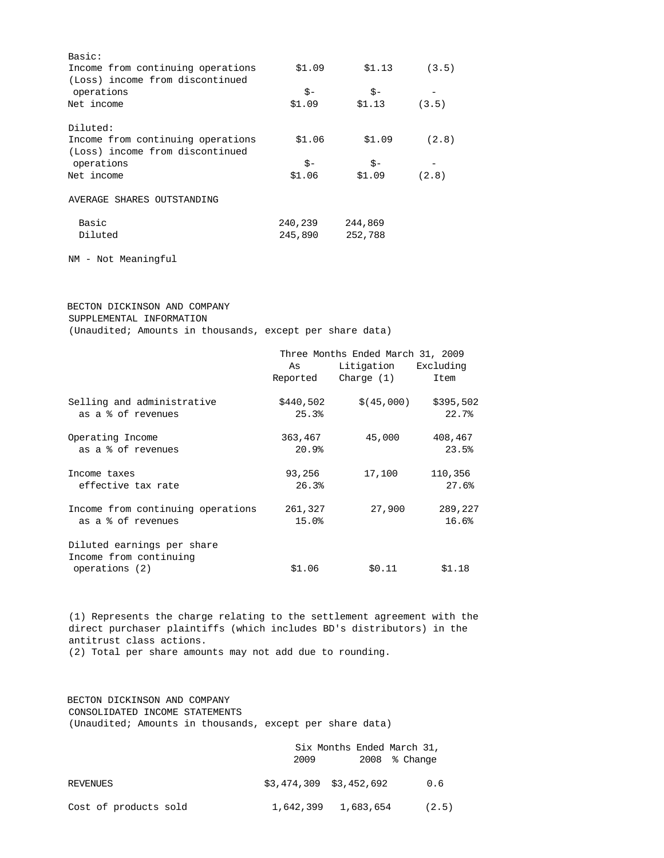| Basic:                            |         |         |       |
|-----------------------------------|---------|---------|-------|
| Income from continuing operations | \$1.09  | \$1.13  | (3.5) |
| (Loss) income from discontinued   |         |         |       |
| operations                        | $S-$    | $S -$   |       |
| Net income                        | \$1.09  | \$1.13  | (3.5) |
| Diluted:                          |         |         |       |
| Income from continuing operations | \$1.06  | \$1.09  | (2.8) |
| (Loss) income from discontinued   |         |         |       |
| operations                        | \$-     | \$-     |       |
| Net income                        | \$1.06  | \$1.09  | (2.8) |
| AVERAGE SHARES OUTSTANDING        |         |         |       |
| Basic                             | 240,239 | 244,869 |       |
| Diluted                           | 245,890 | 252,788 |       |
|                                   |         |         |       |

NM - Not Meaningful

# BECTON DICKINSON AND COMPANY SUPPLEMENTAL INFORMATION

(Unaudited; Amounts in thousands, except per share data)

|                                   | Three Months Ended March 31, 2009 |                         |           |  |  |
|-----------------------------------|-----------------------------------|-------------------------|-----------|--|--|
|                                   | As                                | Litigation<br>Excluding |           |  |  |
|                                   | Reported                          | Charge (1)              | Item      |  |  |
| Selling and administrative        | \$440,502                         | \$ (45,000)             | \$395,502 |  |  |
| as a % of revenues                | 25.3%                             |                         | 22.7%     |  |  |
| Operating Income                  | 363,467                           | 45,000                  | 408,467   |  |  |
| as a % of revenues                | 20.9%                             |                         | 23.5%     |  |  |
| Income taxes                      | 93,256                            | 17,100                  | 110,356   |  |  |
| effective tax rate                | 26.3%                             |                         | 27.6%     |  |  |
| Income from continuing operations | 261,327                           | 27,900                  | 289,227   |  |  |
| as a % of revenues                | 15.0%                             |                         | 16.6%     |  |  |
| Diluted earnings per share        |                                   |                         |           |  |  |
| Income from continuing            |                                   |                         |           |  |  |
| operations (2)                    | \$1.06                            | \$0.11                  | \$1.18    |  |  |

 (1) Represents the charge relating to the settlement agreement with the direct purchaser plaintiffs (which includes BD's distributors) in the antitrust class actions. (2) Total per share amounts may not add due to rounding.

 BECTON DICKINSON AND COMPANY CONSOLIDATED INCOME STATEMENTS (Unaudited; Amounts in thousands, except per share data)

|                       |                           | Six Months Ended March 31, |
|-----------------------|---------------------------|----------------------------|
|                       | 2009                      | $2008$ % Change            |
| REVENUES              | $$3,474,309$ $$3,452,692$ | 0.6                        |
| Cost of products sold | 1,642,399 1,683,654       | (2.5)                      |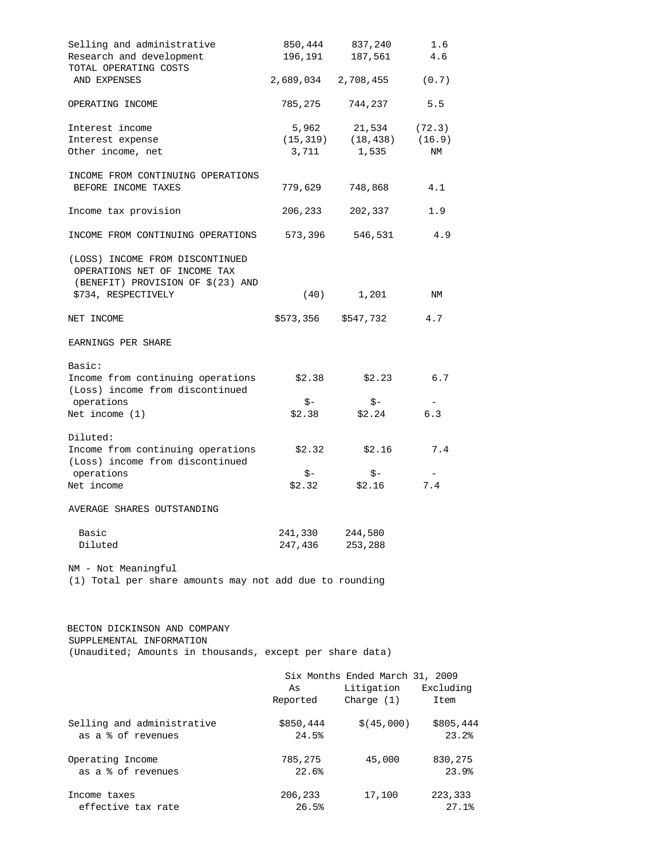| Selling and administrative                                                                                                  | 850,444             | 837,240                          | 1.6                |
|-----------------------------------------------------------------------------------------------------------------------------|---------------------|----------------------------------|--------------------|
| Research and development<br>TOTAL OPERATING COSTS                                                                           | 196,191             | 187,561                          | 4.6                |
| AND EXPENSES                                                                                                                | 2,689,034 2,708,455 |                                  | (0.7)              |
| OPERATING INCOME                                                                                                            | 785,275             | 744,237                          | 5.5                |
| Interest income                                                                                                             | 5,962               | 21,534 (72.3)                    |                    |
| Interest expense                                                                                                            |                     | $(15, 319)$ $(18, 438)$ $(16.9)$ |                    |
| Other income, net                                                                                                           | 3,711               | 1,535                            | ΝM                 |
| INCOME FROM CONTINUING OPERATIONS<br>BEFORE INCOME TAXES                                                                    | 779,629             | 748,868                          | 4.1                |
| Income tax provision                                                                                                        | 206,233             | 202,337                          | 1.9                |
| INCOME FROM CONTINUING OPERATIONS                                                                                           |                     | 573,396 546,531                  | 4.9                |
| (LOSS) INCOME FROM DISCONTINUED<br>OPERATIONS NET OF INCOME TAX<br>(BENEFIT) PROVISION OF \$(23) AND<br>\$734, RESPECTIVELY |                     | $(40)$ 1,201                     | NM                 |
| NET INCOME                                                                                                                  |                     | \$573,356 \$547,732              | 4.7                |
|                                                                                                                             |                     |                                  |                    |
| EARNINGS PER SHARE                                                                                                          |                     |                                  |                    |
| Basic:                                                                                                                      |                     |                                  |                    |
| Income from continuing operations<br>(Loss) income from discontinued                                                        | \$2.38              | \$2.23                           | 6.7                |
| operations                                                                                                                  | \$-                 | \$-                              |                    |
| Net income $(1)$                                                                                                            | \$2.38              | \$2.24                           | 6.3                |
| Diluted:                                                                                                                    |                     |                                  |                    |
| Income from continuing operations<br>(Loss) income from discontinued                                                        |                     | $$2.32$ $$2.16$                  | 7.4                |
| operations                                                                                                                  | \$-                 | \$-                              |                    |
| Net income                                                                                                                  | \$2.32              | \$2.16                           | 7.4                |
| AVERAGE SHARES OUTSTANDING                                                                                                  |                     |                                  |                    |
| Basic                                                                                                                       | 241,330             | 244,580                          |                    |
| Diluted                                                                                                                     | 247,436             | 253,288                          |                    |
| NM - Not Meaningful<br>(1) Total per share amounts may not add due to rounding                                              |                     |                                  |                    |
| BECTON DICKINSON AND COMPANY<br>SUPPLEMENTAL INFORMATION<br>(Unaudited; Amounts in thousands, except per share data)        |                     |                                  |                    |
|                                                                                                                             |                     | Six Months Ended March 31, 2009  |                    |
|                                                                                                                             | As<br>Reported      | Litigation<br>Charge $(1)$       | Excluding<br>Item  |
| Selling and administrative<br>as a % of revenues                                                                            | \$850,444<br>24.5%  | \$ (45,000)                      | \$805,444<br>23.2% |
| Operating Income                                                                                                            | 785,275             | 45,000                           | 830,275            |
| as a % of revenues                                                                                                          | 22.6%               |                                  | 23.9%              |
| Income taxes                                                                                                                | 206,233             | 17,100                           | 223,333            |
| effective tax rate                                                                                                          | 26.5%               |                                  | 27.1%              |
|                                                                                                                             |                     |                                  |                    |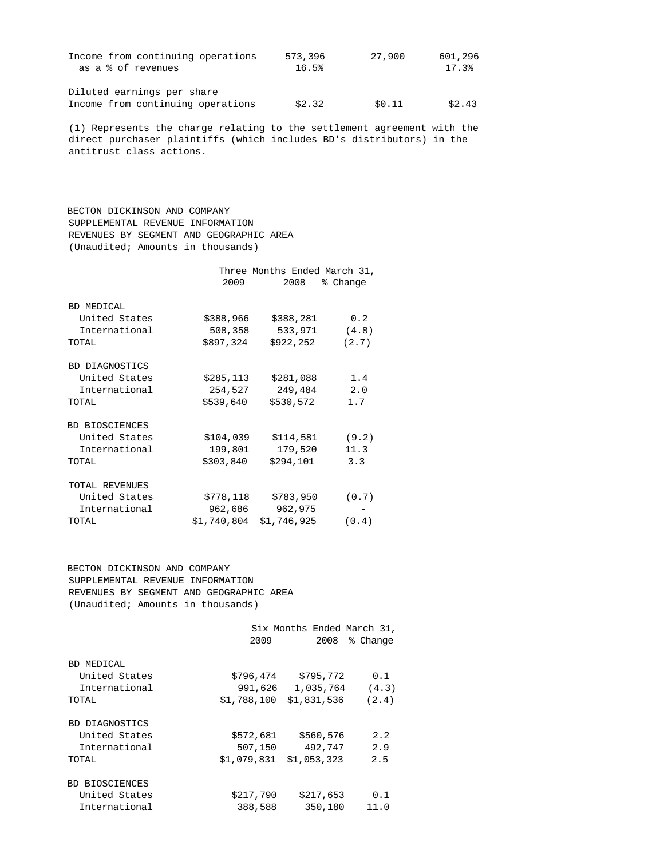| Income from continuing operations | 573,396 | 27,900 | 601,296 |
|-----------------------------------|---------|--------|---------|
| as a % of revenues                | 16.5%   |        | 17.3%   |
|                                   |         |        |         |
| Diluted earnings per share        |         |        |         |
| Income from continuing operations | \$2.32  | \$0.11 | \$2.43  |
|                                   |         |        |         |

 (1) Represents the charge relating to the settlement agreement with the direct purchaser plaintiffs (which includes BD's distributors) in the antitrust class actions.

 BECTON DICKINSON AND COMPANY SUPPLEMENTAL REVENUE INFORMATION REVENUES BY SEGMENT AND GEOGRAPHIC AREA (Unaudited; Amounts in thousands)

|                |             | Three Months Ended March 31, |          |
|----------------|-------------|------------------------------|----------|
|                | 2009        | 2008                         | % Change |
|                |             |                              |          |
| BD MEDICAL     |             |                              |          |
| United States  | \$388,966   | \$388,281                    | 0.2      |
| International  | 508,358     | 533,971                      | (4.8)    |
| TOTAL          | \$897,324   | \$922,252                    | (2.7)    |
|                |             |                              |          |
| BD DIAGNOSTICS |             |                              |          |
| United States  | \$285,113   | \$281,088                    | 1.4      |
| International  | 254,527     | 249,484                      | 2.0      |
| TOTAL          | \$539,640   | \$530,572                    | 1.7      |
|                |             |                              |          |
| BD BIOSCIENCES |             |                              |          |
| United States  | \$104,039   | \$114,581                    | (9.2)    |
| International  | 199,801     | 179,520                      | 11.3     |
| TOTAL          | \$303,840   | \$294,101                    | 3.3      |
|                |             |                              |          |
| TOTAL REVENUES |             |                              |          |
| United States  | \$778,118   | \$783,950                    | (0.7)    |
| International  | 962,686     | 962,975                      |          |
| TOTAL          | \$1,740,804 | \$1,746,925                  | (0.4)    |

 BECTON DICKINSON AND COMPANY SUPPLEMENTAL REVENUE INFORMATION REVENUES BY SEGMENT AND GEOGRAPHIC AREA (Unaudited; Amounts in thousands)

|                             | 2009        | Six Months Ended March 31,<br>2008<br>% Change |       |  |  |
|-----------------------------|-------------|------------------------------------------------|-------|--|--|
| BD MEDICAL<br>United States | \$796,474   | \$795,772                                      | 0.1   |  |  |
| International               | 991,626     | 1,035,764                                      | (4.3) |  |  |
| TOTAL                       | \$1,788,100 | \$1,831,536                                    | (2.4) |  |  |
| BD DIAGNOSTICS              |             |                                                |       |  |  |
| United States               | \$572,681   | \$560,576                                      | 2.2   |  |  |
| International               | 507,150     | 492,747                                        | 2.9   |  |  |
| TOTAL                       | \$1,079,831 | \$1,053,323                                    | 2.5   |  |  |
| <b>BD BIOSCIENCES</b>       |             |                                                |       |  |  |
| United States               | \$217,790   | \$217,653                                      | 0.1   |  |  |
| International               | 388,588     | 350,180                                        | 11.0  |  |  |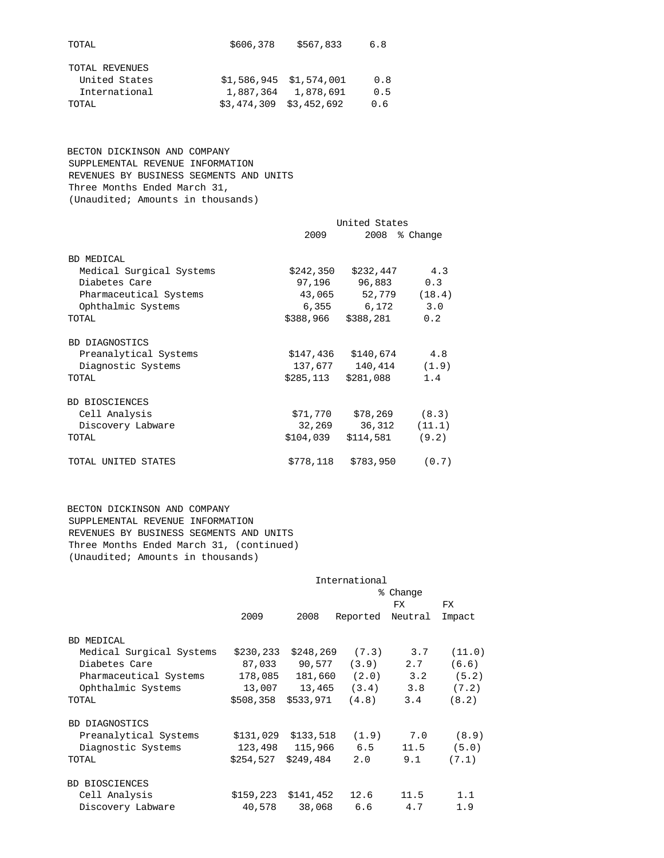| TOTAL          | \$606,378                 | \$567,833                 | 6.8 |
|----------------|---------------------------|---------------------------|-----|
| TOTAL REVENUES |                           |                           |     |
| United States  |                           | $$1,586,945 \t$1,574,001$ | 0.8 |
| International  |                           | 1,887,364 1,878,691       | 0.5 |
| TOTAL          | $$3.474.309$ $$3.452.692$ |                           | 0.6 |
|                |                           |                           |     |

 BECTON DICKINSON AND COMPANY SUPPLEMENTAL REVENUE INFORMATION REVENUES BY BUSINESS SEGMENTS AND UNITS Three Months Ended March 31, (Unaudited; Amounts in thousands)

|                          | United States |                       |          |  |  |
|--------------------------|---------------|-----------------------|----------|--|--|
|                          | 2009          | 2008                  | % Change |  |  |
| <b>BD MEDICAL</b>        |               |                       |          |  |  |
| Medical Surgical Systems |               | $$242,350$ $$232,447$ | 4.3      |  |  |
| Diabetes Care            |               | 97,196 96,883         | 0.3      |  |  |
| Pharmaceutical Systems   |               | 43,065 52,779 (18.4)  |          |  |  |
| Ophthalmic Systems       |               | 6,355 6,172           | 3.0      |  |  |
| TOTAL                    | \$388,966     | \$388,281             | 0.2      |  |  |
| <b>BD DIAGNOSTICS</b>    |               |                       |          |  |  |
| Preanalytical Systems    |               | \$147,436 \$140,674   | 4.8      |  |  |
| Diagnostic Systems       | 137,677       | $140,414$ $(1.9)$     |          |  |  |
| <b>TOTAL</b>             | \$285,113     | \$281,088             | 1.4      |  |  |
| <b>BD BIOSCIENCES</b>    |               |                       |          |  |  |
| Cell Analysis            | \$71,770      | \$78,269              | (8.3)    |  |  |
| Discovery Labware        | 32,269        | 36,312                | (11.1)   |  |  |
| TOTAL                    | \$104,039     | \$114,581             | (9.2)    |  |  |
| TOTAL UNITED STATES      |               | \$778,118 \$783,950   | (0.7)    |  |  |

 BECTON DICKINSON AND COMPANY SUPPLEMENTAL REVENUE INFORMATION REVENUES BY BUSINESS SEGMENTS AND UNITS Three Months Ended March 31, (continued) (Unaudited; Amounts in thousands)

|                          |           |                       | International             |         |        |
|--------------------------|-----------|-----------------------|---------------------------|---------|--------|
|                          | % Change  |                       |                           |         |        |
|                          |           |                       |                           | FX.     | FX.    |
|                          | 2009      | 2008                  | Reported                  | Neutral | Impact |
| BD MEDICAL               |           |                       |                           |         |        |
| Medical Surgical Systems | \$230,233 | \$248,269             | (7.3)                     | 3.7     | (11.0) |
| Diabetes Care            | 87,033    |                       | 90,577 (3.9)              | 2.7     | (6.6)  |
| Pharmaceutical Systems   | 178,085   |                       | 181,660 (2.0)             | 3.2     | (5.2)  |
| Ophthalmic Systems       |           |                       | $13,007$ $13,465$ $(3.4)$ | 3.8     | (7.2)  |
| TOTAL                    | \$508,358 | \$533,971             | (4.8)                     | 3.4     | (8.2)  |
| BD DIAGNOSTICS           |           |                       |                           |         |        |
| Preanalytical Systems    |           | $$131,029$ $$133,518$ | (1.9)                     | 7.0     | (8.9)  |
| Diagnostic Systems       |           | 123,498 115,966       | 6.5                       | 11.5    | (5.0)  |
| TOTAL                    | \$254,527 | \$249,484             | 2.0                       | 9.1     | (7.1)  |
| <b>BD BIOSCIENCES</b>    |           |                       |                           |         |        |
| Cell Analysis            | \$159,223 | \$141,452             | 12.6                      | 11.5    | 1.1    |
| Discovery Labware        | 40,578    | 38,068                | 6.6                       | 4.7     | 1.9    |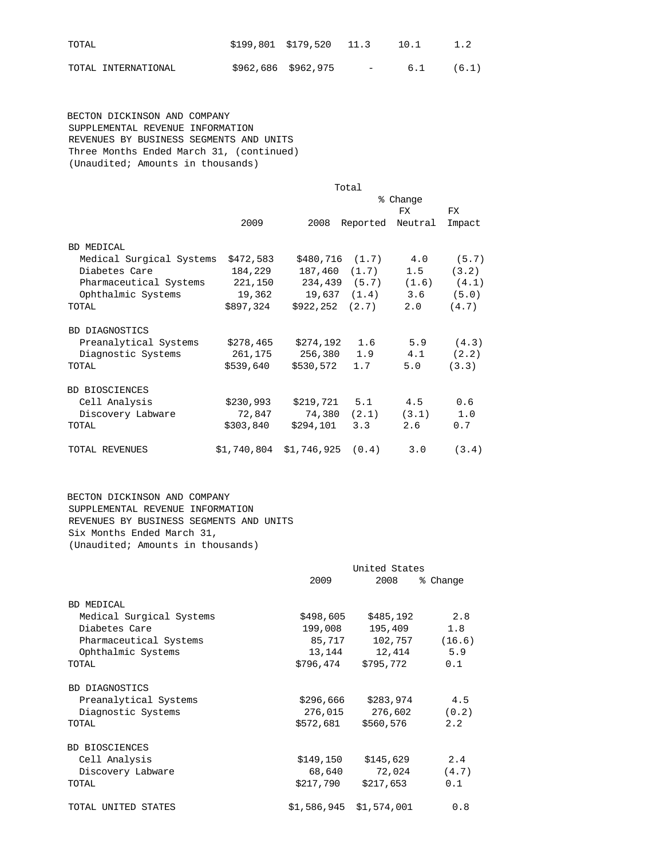| TOTAL               | $$199,801$ $$179,520$ $11.3$ $10.1$ |                                 |     | 1.2   |
|---------------------|-------------------------------------|---------------------------------|-----|-------|
| TOTAL INTERNATIONAL | \$962,686 \$962,975                 | <b>Contract Contract Street</b> | 6.1 | (6.1) |

 BECTON DICKINSON AND COMPANY SUPPLEMENTAL REVENUE INFORMATION REVENUES BY BUSINESS SEGMENTS AND UNITS Three Months Ended March 31, (continued) (Unaudited; Amounts in thousands)

|                          |             |                         | Total            |                  |        |
|--------------------------|-------------|-------------------------|------------------|------------------|--------|
|                          |             |                         |                  | % Change         |        |
|                          |             |                         |                  | FX.              | FX     |
|                          | 2009        | 2008                    |                  | Reported Neutral | Impact |
| <b>BD MEDICAL</b>        |             |                         |                  |                  |        |
| Medical Surgical Systems | \$472,583   | \$480,716               | (1.7)            | 4.0              | (5.7)  |
| Diabetes Care            | 184,229     | 187,460 (1.7)           |                  | 1.5              | (3.2)  |
| Pharmaceutical Systems   | 221,150     |                         | 234,439 (5.7)    | (1.6)            | (4.1)  |
| Ophthalmic Systems       | 19,362      |                         | $19,637$ $(1.4)$ | 3.6              | (5.0)  |
| TOTAL                    | \$897,324   | $$922, 252 \quad (2.7)$ |                  | 2.0              | (4.7)  |
| BD DIAGNOSTICS           |             |                         |                  |                  |        |
| Preanalytical Systems    | \$278,465   | \$274,192               | 1.6              | 5.9              | (4.3)  |
| Diagnostic Systems       | 261,175     | 256,380                 | 1.9              | 4.1              | (2.2)  |
| TOTAL                    | \$539,640   | \$530,572               | 1.7              | 5.0              | (3.3)  |
| BD BIOSCIENCES           |             |                         |                  |                  |        |
| Cell Analysis            | \$230,993   | \$219,721               | 5.1              | 4.5              | 0.6    |
| Discovery Labware        | 72,847      | 74,380                  | (2.1)            | (3.1)            | 1.0    |
| TOTAL                    | \$303,840   | \$294,101               | 3.3              | 2.6              | 0.7    |
| TOTAL REVENUES           | \$1,740,804 | \$1,746,925             | (0.4)            | 3.0              | (3.4)  |

 BECTON DICKINSON AND COMPANY SUPPLEMENTAL REVENUE INFORMATION REVENUES BY BUSINESS SEGMENTS AND UNITS Six Months Ended March 31, (Unaudited; Amounts in thousands)

|                          |             | United States<br>2008<br>% Change |        |  |
|--------------------------|-------------|-----------------------------------|--------|--|
|                          | 2009        |                                   |        |  |
| <b>BD MEDICAL</b>        |             |                                   |        |  |
| Medical Surgical Systems | \$498,605   | \$485,192                         | 2.8    |  |
| Diabetes Care            | 199,008     | 195,409                           | 1.8    |  |
| Pharmaceutical Systems   | 85,717      | 102,757                           | (16.6) |  |
| Ophthalmic Systems       | 13,144      | 12,414                            | 5.9    |  |
| TOTAL                    | \$796,474   | \$795,772                         | 0.1    |  |
| <b>BD DIAGNOSTICS</b>    |             |                                   |        |  |
| Preanalytical Systems    | \$296,666   | \$283,974                         | 4.5    |  |
| Diagnostic Systems       | 276,015     | 276,602                           | (0.2)  |  |
| TOTAL                    | \$572,681   | \$560,576                         | 2.2    |  |
| BD BIOSCIENCES           |             |                                   |        |  |
| Cell Analysis            | \$149,150   | \$145,629                         | 2.4    |  |
| Discovery Labware        | 68,640      | 72,024                            | (4.7)  |  |
| TOTAL                    | \$217,790   | \$217,653                         | 0.1    |  |
| TOTAL UNITED STATES      | \$1,586,945 | \$1,574,001                       | 0.8    |  |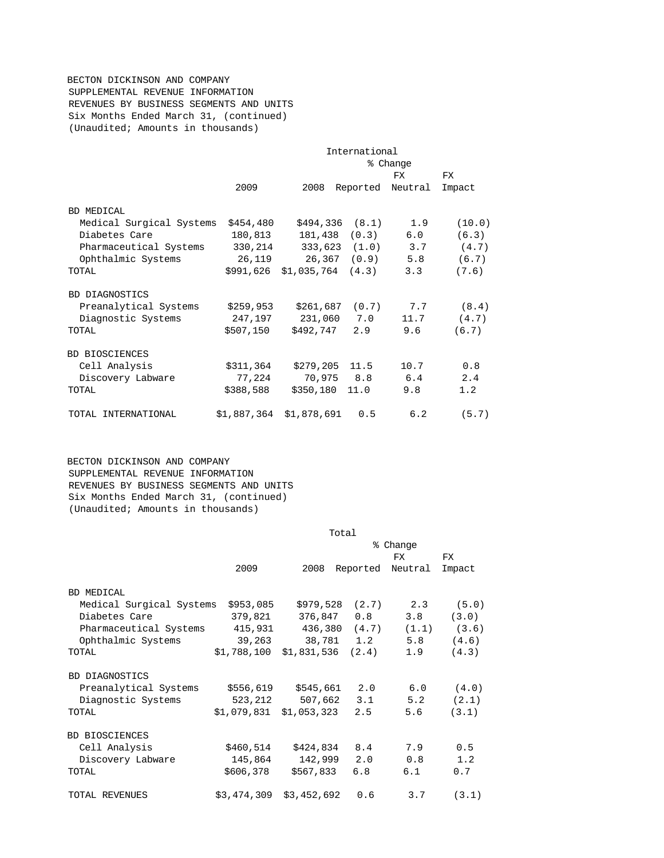# BECTON DICKINSON AND COMPANY SUPPLEMENTAL REVENUE INFORMATION REVENUES BY BUSINESS SEGMENTS AND UNITS Six Months Ended March 31, (continued) (Unaudited; Amounts in thousands)

|                          | International<br>% Change |                         |                    |         |        |
|--------------------------|---------------------------|-------------------------|--------------------|---------|--------|
|                          |                           |                         |                    |         |        |
|                          |                           |                         |                    | FX.     | FX.    |
|                          | 2009                      | 2008                    | Reported           | Neutral | Impact |
| <b>BD MEDICAL</b>        |                           |                         |                    |         |        |
| Medical Surgical Systems | \$454,480                 |                         | $$494,336$ $(8.1)$ | 1.9     | (10.0) |
| Diabetes Care            | 180,813                   | 181,438                 | (0.3)              | 6.0     | (6.3)  |
| Pharmaceutical Systems   | 330,214                   |                         | 333,623 (1.0)      | 3.7     | (4.7)  |
| Ophthalmic Systems       | 26,119                    |                         | 26,367 (0.9)       | 5.8     | (6.7)  |
| <b>TOTAL</b>             |                           | \$991,626 \$1,035,764   | (4.3)              | 3.3     | (7.6)  |
| BD DIAGNOSTICS           |                           |                         |                    |         |        |
| Preanalytical Systems    | \$259,953                 |                         | $$261,687$ (0.7)   | 7.7     | (8.4)  |
| Diagnostic Systems       | 247,197                   |                         | 231,060 7.0        | 11.7    | (4.7)  |
| TOTAL                    | \$507,150                 | \$492,747               | 2.9                | 9.6     | (6.7)  |
| <b>BD BIOSCIENCES</b>    |                           |                         |                    |         |        |
| Cell Analysis            | \$311,364                 | \$279,205               | 11.5               | 10.7    | 0.8    |
| Discovery Labware        | 77,224                    | 70,975                  | 8.8                | 6.4     | 2.4    |
| TOTAL                    | \$388,588                 | \$350,180               | 11.0               | 9.8     | 1.2    |
| TOTAL INTERNATIONAL      |                           | \$1,887,364 \$1,878,691 | 0.5                | 6.2     | (5.7)  |

 BECTON DICKINSON AND COMPANY SUPPLEMENTAL REVENUE INFORMATION REVENUES BY BUSINESS SEGMENTS AND UNITS Six Months Ended March 31, (continued) (Unaudited; Amounts in thousands)

|                          | Total       |                 |          |         |        |
|--------------------------|-------------|-----------------|----------|---------|--------|
|                          | ⊱<br>Change |                 |          |         |        |
|                          |             |                 |          | FX.     | FX.    |
|                          | 2009        | 2008            | Reported | Neutral | Impact |
| <b>BD MEDICAL</b>        |             |                 |          |         |        |
| Medical Surgical Systems | \$953,085   | \$979,528       | (2.7)    | 2.3     | (5.0)  |
| Diabetes Care            | 379,821     | 376,847         | 0.8      | 3.8     | (3.0)  |
| Pharmaceutical Systems   |             | 415,931 436,380 | (4.7)    | (1.1)   | (3.6)  |
| Ophthalmic Systems       | 39,263      | 38,781          | 1.2      | 5.8     | (4.6)  |
| TOTAL                    | \$1,788,100 | \$1,831,536     | (2.4)    | 1.9     | (4.3)  |
| BD DIAGNOSTICS           |             |                 |          |         |        |
| Preanalytical Systems    | \$556,619   | \$545,661       | 2.0      | 6.0     | (4.0)  |
| Diagnostic Systems       | 523,212     | 507,662         | 3.1      | 5.2     | (2.1)  |
| TOTAL                    | \$1,079,831 | \$1,053,323     | 2.5      | 5.6     | (3.1)  |
| BD BIOSCIENCES           |             |                 |          |         |        |
| Cell Analysis            | \$460,514   | \$424,834       | 8.4      | 7.9     | 0.5    |
| Discovery Labware        | 145,864     | 142,999         | 2.0      | 0.8     | 1.2    |
| TOTAL                    | \$606,378   | \$567,833       | 6.8      | 6.1     | 0.7    |
| TOTAL REVENUES           | \$3,474,309 | \$3,452,692     | 0.6      | 3.7     | (3.1)  |